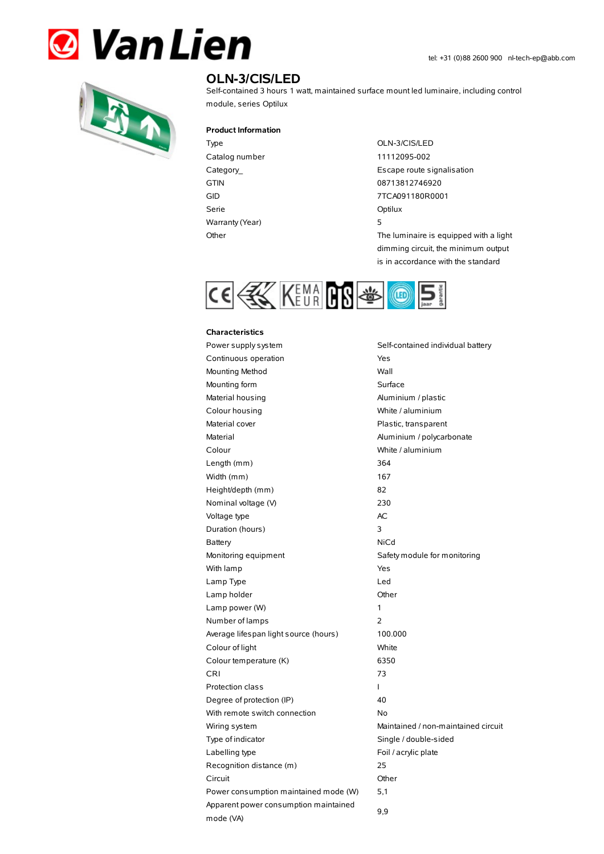



## **OLN-3/CIS/LED**

Self-contained 3 hours 1 watt, maintained surface mount led luminaire, including control module, series Optilux

## **Product Information**

Catalog number 11112095-002 Serie Optilux Warranty(Year) 5

## Type OLN-3/CIS/LED

Category\_ **Escape route signalisation** GTIN 08713812746920 GID 7TCA091180R0001 Other The luminaire is equipped with a light

dimming circuit, the minimum output is in accordance with the standard



## **Characteristics**

| Power supply system                                | Self-contained individual battery   |  |
|----------------------------------------------------|-------------------------------------|--|
| Continuous operation                               | Yes                                 |  |
| Mounting Method                                    | Wall                                |  |
| Mounting form<br>Surface                           |                                     |  |
| Material housing                                   | Aluminium / plastic                 |  |
| Colour housing<br>White / aluminium                |                                     |  |
| Material cover                                     | Plastic, transparent                |  |
| Material                                           | Aluminium / polycarbonate           |  |
| Colour                                             | White / aluminium                   |  |
| Length (mm)                                        | 364                                 |  |
| Width (mm)                                         | 167                                 |  |
| Height/depth (mm)                                  | 82                                  |  |
| Nominal voltage (V)                                | 230                                 |  |
| Voltage type                                       | AC                                  |  |
| Duration (hours)                                   | 3                                   |  |
| Battery                                            | NiCd                                |  |
| Monitoring equipment                               | Safety module for monitoring        |  |
| With lamp                                          | Yes                                 |  |
| Lamp Type                                          | Led                                 |  |
| Lamp holder                                        | Other                               |  |
| Lamp power (W)                                     | 1                                   |  |
| Number of lamps                                    | 2                                   |  |
| Average lifespan light source (hours)              | 100.000                             |  |
| Colour of light                                    | White                               |  |
| Colour temperature (K)                             | 6350                                |  |
| CRI                                                | 73                                  |  |
| <b>Protection class</b>                            | L                                   |  |
| Degree of protection (IP)                          | 40                                  |  |
| With remote switch connection                      | No                                  |  |
| Wiring system                                      | Maintained / non-maintained circuit |  |
| Type of indicator                                  | Single / double-sided               |  |
| Labelling type                                     | Foil / acrylic plate                |  |
| Recognition distance (m)                           | 25                                  |  |
| Circuit                                            | Other                               |  |
| Power consumption maintained mode (W)              | 5,1                                 |  |
| Apparent power consumption maintained<br>mode (VA) | 9,9                                 |  |